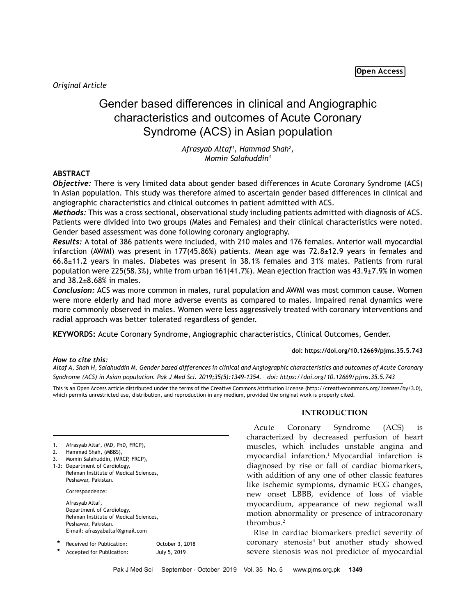*Original Article*

# Gender based differences in clinical and Angiographic characteristics and outcomes of Acute Coronary Syndrome (ACS) in Asian population

*Afrasyab Altaf1 , Hammad Shah2 , Momin Salahuddin3*

# **ABSTRACT**

*Objective:* There is very limited data about gender based differences in Acute Coronary Syndrome (ACS) in Asian population. This study was therefore aimed to ascertain gender based differences in clinical and angiographic characteristics and clinical outcomes in patient admitted with ACS.

*Methods:* This was a cross sectional, observational study including patients admitted with diagnosis of ACS. Patients were divided into two groups (Males and Females) and their clinical characteristics were noted. Gender based assessment was done following coronary angiography.

*Results:* A total of 386 patients were included, with 210 males and 176 females. Anterior wall myocardial infarction (AWMI) was present in 177(45.86%) patients. Mean age was 72.8 $\pm$ 12.9 years in females and 66.8±11.2 years in males. Diabetes was present in 38.1% females and 31% males. Patients from rural population were 225(58.3%), while from urban 161(41.7%). Mean ejection fraction was 43.9±7.9% in women and 38.2±8.68% in males.

*Conclusion:* ACS was more common in males, rural population and AWMI was most common cause. Women were more elderly and had more adverse events as compared to males. Impaired renal dynamics were more commonly observed in males. Women were less aggressively treated with coronary interventions and radial approach was better tolerated regardless of gender.

**KEYWORDS:** Acute Coronary Syndrome, Angiographic characteristics, Clinical Outcomes, Gender.

# **doi: https://doi.org/10.12669/pjms.35.5.743**

*How to cite this:*

*Altaf A, Shah H, Salahuddin M. Gender based differences in clinical and Angiographic characteristics and outcomes of Acute Coronary Syndrome (ACS) in Asian population. Pak J Med Sci. 2019;35(5):1349-1354. doi: https://doi.org/10.12669/pjms.35.5.743*

This is an Open Access article distributed under the terms of the Creative Commons Attribution License (http://creativecommons.org/licenses/by/3.0), which permits unrestricted use, distribution, and reproduction in any medium, provided the original work is properly cited.

| 1. | Afrasyab Altaf, (MD, PhD, FRCP), |  |  |  |
|----|----------------------------------|--|--|--|
|----|----------------------------------|--|--|--|

- 2. Hammad Shah, (MBBS),
- 3. Momin Salahuddin, (MRCP, FRCP),
- 1-3: Department of Cardiology, Rehman Institute of Medical Sciences, Peshawar, Pakistan.

Correspondence:

Afrasyab Altaf, Department of Cardiology, Rehman Institute of Medical Sciences, Peshawar, Pakistan. E-mail: afrasyabaltaf@gmail.com

| Received for Publication: | October 3, 2018 |
|---------------------------|-----------------|
|                           |                 |

 **\*** Accepted for Publication: July 5, 2019

## **INTRODUCTION**

Acute Coronary Syndrome (ACS) is characterized by decreased perfusion of heart muscles, which includes unstable angina and myocardial infarction.1 Myocardial infarction is diagnosed by rise or fall of cardiac biomarkers, with addition of any one of other classic features like ischemic symptoms, dynamic ECG changes, new onset LBBB, evidence of loss of viable myocardium, appearance of new regional wall motion abnormality or presence of intracoronary thrombus.2

Rise in cardiac biomarkers predict severity of coronary stenosis<sup>3</sup> but another study showed severe stenosis was not predictor of myocardial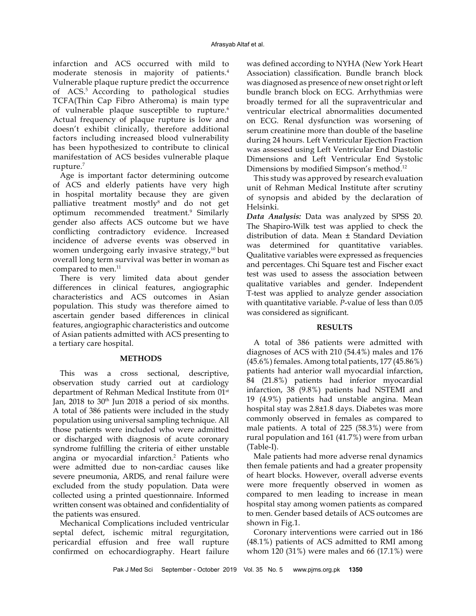infarction and ACS occurred with mild to moderate stenosis in majority of patients.4 Vulnerable plaque rupture predict the occurrence of ACS.5 According to pathological studies TCFA(Thin Cap Fibro Atheroma) is main type of vulnerable plaque susceptible to rupture.<sup>6</sup> Actual frequency of plaque rupture is low and doesn't exhibit clinically, therefore additional factors including increased blood vulnerability has been hypothesized to contribute to clinical manifestation of ACS besides vulnerable plaque rupture.7

Age is important factor determining outcome of ACS and elderly patients have very high in hospital mortality because they are given palliative treatment mostly<sup>8</sup> and do not get optimum recommended treatment.<sup>9</sup> Similarly gender also affects ACS outcome but we have conflicting contradictory evidence. Increased incidence of adverse events was observed in women undergoing early invasive strategy, $10$  but overall long term survival was better in woman as compared to men.<sup>11</sup>

There is very limited data about gender differences in clinical features, angiographic characteristics and ACS outcomes in Asian population. This study was therefore aimed to ascertain gender based differences in clinical features, angiographic characteristics and outcome of Asian patients admitted with ACS presenting to a tertiary care hospital.

# **METHODS**

This was a cross sectional, descriptive, observation study carried out at cardiology department of Rehman Medical Institute from 01<sup>st</sup> Jan,  $2018$  to  $30<sup>th</sup>$  Jun  $2018$  a period of six months. A total of 386 patients were included in the study population using universal sampling technique. All those patients were included who were admitted or discharged with diagnosis of acute coronary syndrome fulfilling the criteria of either unstable angina or myocardial infarction.2 Patients who were admitted due to non-cardiac causes like severe pneumonia, ARDS, and renal failure were excluded from the study population. Data were collected using a printed questionnaire. Informed written consent was obtained and confidentiality of the patients was ensured.

Mechanical Complications included ventricular septal defect, ischemic mitral regurgitation, pericardial effusion and free wall rupture confirmed on echocardiography. Heart failure was defined according to NYHA (New York Heart Association) classification. Bundle branch block was diagnosed as presence of new onset right or left bundle branch block on ECG. Arrhythmias were broadly termed for all the supraventricular and ventricular electrical abnormalities documented on ECG. Renal dysfunction was worsening of serum creatinine more than double of the baseline during 24 hours. Left Ventricular Ejection Fraction was assessed using Left Ventricular End Diastolic Dimensions and Left Ventricular End Systolic Dimensions by modified Simpson's method.<sup>12</sup>

This study was approved by research evaluation unit of Rehman Medical Institute after scrutiny of synopsis and abided by the declaration of Helsinki.

*Data Analysis:* Data was analyzed by SPSS 20. The Shapiro-Wilk test was applied to check the distribution of data. Mean ± Standard Deviation was determined for quantitative variables. Qualitative variables were expressed as frequencies and percentages. Chi Square test and Fischer exact test was used to assess the association between qualitative variables and gender. Independent T-test was applied to analyze gender association with quantitative variable. *P*-value of less than 0.05 was considered as significant.

# **RESULTS**

A total of 386 patients were admitted with diagnoses of ACS with 210 (54.4%) males and 176 (45.6%) females. Among total patients, 177 (45.86%) patients had anterior wall myocardial infarction, 84 (21.8%) patients had inferior myocardial infarction, 38 (9.8%) patients had NSTEMI and 19 (4.9%) patients had unstable angina. Mean hospital stay was 2.8±1.8 days. Diabetes was more commonly observed in females as compared to male patients. A total of 225 (58.3%) were from rural population and 161 (41.7%) were from urban (Table-I).

Male patients had more adverse renal dynamics then female patients and had a greater propensity of heart blocks. However, overall adverse events were more frequently observed in women as compared to men leading to increase in mean hospital stay among women patients as compared to men. Gender based details of ACS outcomes are shown in Fig.1.

Coronary interventions were carried out in 186 (48.1%) patients of ACS admitted to RMI among whom 120 (31%) were males and 66 (17.1%) were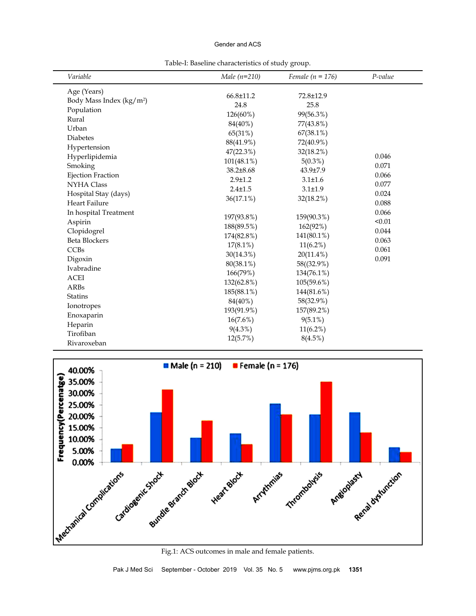## Gender and ACS

Table-I: Baseline characteristics of study group.

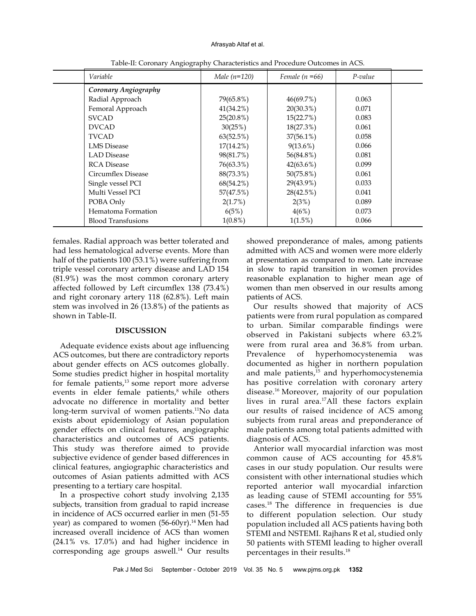#### Afrasyab Altaf et al.

| Variable                  | Male $(n=120)$ | Female $(n=66)$ | P-value |  |
|---------------------------|----------------|-----------------|---------|--|
| Coronary Angiography      |                |                 |         |  |
| Radial Approach           | 79(65.8%)      | 46(69.7%)       | 0.063   |  |
| Femoral Approach          | $41(34.2\%)$   | 20(30.3%)       | 0.071   |  |
| <b>SVCAD</b>              | $25(20.8\%)$   | 15(22.7%)       | 0.083   |  |
| <b>DVCAD</b>              | 30(25%)        | $18(27.3\%)$    | 0.061   |  |
| <b>TVCAD</b>              | 63(52.5%)      | $37(56.1\%)$    | 0.058   |  |
| <b>LMS</b> Disease        | $17(14.2\%)$   | $9(13.6\%)$     | 0.066   |  |
| <b>LAD</b> Disease        | 98(81.7%)      | 56(84.8%)       | 0.081   |  |
| <b>RCA</b> Disease        | 76(63.3%)      | $42(63.6\%)$    | 0.099   |  |
| Circumflex Disease        | 88(73.3%)      | 50(75.8%)       | 0.061   |  |
| Single vessel PCI         | $68(54.2\%)$   | 29(43.9%)       | 0.033   |  |
| Multi Vessel PCI          | 57(47.5%)      | 28(42.5%)       | 0.041   |  |
| POBA Only                 | 2(1.7%)        | 2(3%)           | 0.089   |  |
| Hematoma Formation        | 6(5%)          | 4(6%)           | 0.073   |  |
| <b>Blood Transfusions</b> | $1(0.8\%)$     | $1(1.5\%)$      | 0.066   |  |

Table-II: Coronary Angiography Characteristics and Procedure Outcomes in ACS.

females. Radial approach was better tolerated and had less hematological adverse events. More than half of the patients 100 (53.1%) were suffering from triple vessel coronary artery disease and LAD 154 (81.9%) was the most common coronary artery affected followed by Left circumflex 138 (73.4%) and right coronary artery 118 (62.8%). Left main stem was involved in 26 (13.8%) of the patients as shown in Table-II.

#### **DISCUSSION**

Adequate evidence exists about age influencing ACS outcomes, but there are contradictory reports about gender effects on ACS outcomes globally. Some studies predict higher in hospital mortality for female patients,<sup>13</sup> some report more adverse events in elder female patients, $8$  while others advocate no difference in mortality and better long-term survival of women patients.<sup>11</sup>No data exists about epidemiology of Asian population gender effects on clinical features, angiographic characteristics and outcomes of ACS patients. This study was therefore aimed to provide subjective evidence of gender based differences in clinical features, angiographic characteristics and outcomes of Asian patients admitted with ACS presenting to a tertiary care hospital.

In a prospective cohort study involving 2,135 subjects, transition from gradual to rapid increase in incidence of ACS occurred earlier in men (51-55 year) as compared to women  $(56-60yr).$ <sup>14</sup> Men had increased overall incidence of ACS than women (24.1% vs. 17.0%) and had higher incidence in corresponding age groups aswell.<sup>14</sup> Our results

showed preponderance of males, among patients admitted with ACS and women were more elderly at presentation as compared to men. Late increase in slow to rapid transition in women provides reasonable explanation to higher mean age of women than men observed in our results among patients of ACS.

Our results showed that majority of ACS patients were from rural population as compared to urban. Similar comparable findings were observed in Pakistani subjects where 63.2% were from rural area and 36.8% from urban. Prevalence of hyperhomocystenemia was documented as higher in northern population and male patients, $^{15}$  and hyperhomocystenemia has positive correlation with coronary artery disease.16 Moreover, majority of our population lives in rural area.17All these factors explain our results of raised incidence of ACS among subjects from rural areas and preponderance of male patients among total patients admitted with diagnosis of ACS.

Anterior wall myocardial infarction was most common cause of ACS accounting for 45.8% cases in our study population. Our results were consistent with other international studies which reported anterior wall myocardial infarction as leading cause of STEMI accounting for 55% cases.18 The difference in frequencies is due to different population selection. Our study population included all ACS patients having both STEMI and NSTEMI. Rajhans R et al, studied only 50 patients with STEMI leading to higher overall percentages in their results.18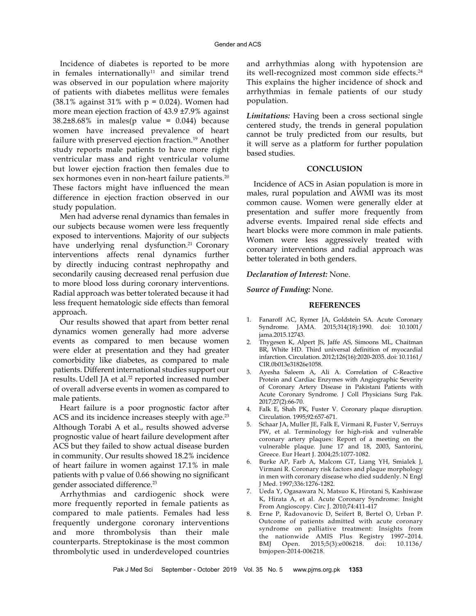Incidence of diabetes is reported to be more in females internationally<sup>11</sup> and similar trend was observed in our population where majority of patients with diabetes mellitus were females (38.1% against 31% with  $p = 0.024$ ). Women had more mean ejection fraction of 43.9 ±7.9% against  $38.2\pm8.68\%$  in males(p value = 0.044) because women have increased prevalence of heart failure with preserved ejection fraction.<sup>19</sup> Another study reports male patients to have more right ventricular mass and right ventricular volume but lower ejection fraction then females due to sex hormones even in non-heart failure patients.<sup>20</sup> These factors might have influenced the mean difference in ejection fraction observed in our study population.

Men had adverse renal dynamics than females in our subjects because women were less frequently exposed to interventions. Majority of our subjects have underlying renal dysfunction.<sup>21</sup> Coronary interventions affects renal dynamics further by directly inducing contrast nephropathy and secondarily causing decreased renal perfusion due to more blood loss during coronary interventions. Radial approach was better tolerated because it had less frequent hematologic side effects than femoral approach.

Our results showed that apart from better renal dynamics women generally had more adverse events as compared to men because women were elder at presentation and they had greater comorbidity like diabetes, as compared to male patients. Different international studies support our results. Udell JA et al.<sup>22</sup> reported increased number of overall adverse events in women as compared to male patients.

Heart failure is a poor prognostic factor after ACS and its incidence increases steeply with age.<sup>23</sup> Although Torabi A et al., results showed adverse prognostic value of heart failure development after ACS but they failed to show actual disease burden in community. Our results showed 18.2% incidence of heart failure in women against 17.1% in male patients with p value of 0.66 showing no significant gender associated difference.23

Arrhythmias and cardiogenic shock were more frequently reported in female patients as compared to male patients. Females had less frequently undergone coronary interventions and more thrombolysis than their male counterparts. Streptokinase is the most common thrombolytic used in underdeveloped countries and arrhythmias along with hypotension are its well-recognized most common side effects.<sup>24</sup> This explains the higher incidence of shock and arrhythmias in female patients of our study population.

*Limitations:* Having been a cross sectional single centered study, the trends in general population cannot be truly predicted from our results, but it will serve as a platform for further population based studies.

#### **CONCLUSION**

Incidence of ACS in Asian population is more in males, rural population and AWMI was its most common cause. Women were generally elder at presentation and suffer more frequently from adverse events. Impaired renal side effects and heart blocks were more common in male patients. Women were less aggressively treated with coronary interventions and radial approach was better tolerated in both genders.

#### *Declaration of Interest:* None.

## *Source of Funding:* None.

## **REFERENCES**

- 1. Fanaroff AC, Rymer JA, Goldstein SA. Acute Coronary Syndrome. JAMA. 2015;314(18):1990. doi: 10.1001/ jama.2015.12743.
- 2. Thygesen K, Alpert JS, Jaffe AS, Simoons ML, Chaitman BR, White HD. Third universal definition of myocardial infarction. Circulation. 2012;126(16):2020-2035. [doi: 10.1161/](https://doi.org/10.1161/CIR.0b013e31826e1058) [CIR.0b013e31826e1058](https://doi.org/10.1161/CIR.0b013e31826e1058).
- 3. [Ayesha Saleem](http://www.pakmedinet.com/author/Ayesha+Saleem) A, [Ali](http://www.pakmedinet.com/author/Azmat+Ali) A. Correlation of C-Reactive Protein and Cardiac Enzymes with Angiographic Severity of Coronary Artery Disease in Pakistani Patients with Acute Coronary Syndrome. [J Coll Physicians Surg Pak.](http://www.pakmedinet.com/JCPSP) 2017;27(2):66-70.
- 4. Falk E, Shah PK, Fuster V. Coronary plaque disruption. Circulation. 1995;92:657-671.
- 5. Schaar JA, Muller JE, Falk E, Virmani R, Fuster V, Serruys PW, et al. Terminology for high-risk and vulnerable coronary artery plaques: Report of a meeting on the vulnerable plaque. June 17 and 18, 2003, Santorini, Greece. Eur Heart J. 2004;25:1077-1082.
- 6. Burke AP, Farb A, Malcom GT, Liang YH, Smialek J, Virmani R. Coronary risk factors and plaque morphology in men with coronary disease who died suddenly. N Engl J Med. 1997;336:1276-1282.
- 7. Ueda Y, Ogasawara N, Matsuo K, Hirotani S, Kashiwase K, Hirata A, et al. Acute Coronary Syndrome: Insight From Angioscopy. Circ J. 2010;74:411-417
- 8. Erne P, Radovanovic D, Seifert B, Bertel O, Urban P. Outcome of patients admitted with acute coronary syndrome on palliative treatment: Insights from the nationwide AMIS Plus Registry 1997–2014. BMJ Open. 2015;5(3):e006218. doi: 10.1136/ bmjopen-2014-006218.